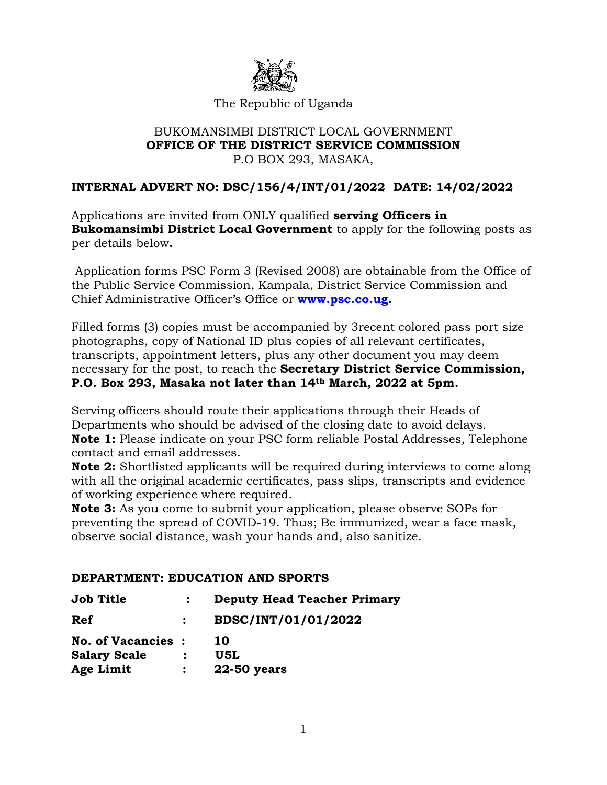

### The Republic of Uganda

#### BUKOMANSIMBI DISTRICT LOCAL GOVERNMENT **OFFICE OF THE DISTRICT SERVICE COMMISSION** P.O BOX 293, MASAKA,

### **INTERNAL ADVERT NO: DSC/156/4/INT/01/2022 DATE: 14/02/2022**

Applications are invited from ONLY qualified **serving Officers in Bukomansimbi District Local Government** to apply for the following posts as per details below**.**

Application forms PSC Form 3 (Revised 2008) are obtainable from the Office of the Public Service Commission, Kampala, District Service Commission and Chief Administrative Officer's Office or **[www.psc.co.ug.](http://www.psc.co.ug/)**

Filled forms (3) copies must be accompanied by 3recent colored pass port size photographs, copy of National ID plus copies of all relevant certificates, transcripts, appointment letters, plus any other document you may deem necessary for the post, to reach the **Secretary District Service Commission, P.O. Box 293, Masaka not later than 14th March, 2022 at 5pm.**

Serving officers should route their applications through their Heads of Departments who should be advised of the closing date to avoid delays. **Note 1:** Please indicate on your PSC form reliable Postal Addresses, Telephone contact and email addresses.

**Note 2:** Shortlisted applicants will be required during interviews to come along with all the original academic certificates, pass slips, transcripts and evidence of working experience where required.

**Note 3:** As you come to submit your application, please observe SOPs for preventing the spread of COVID-19. Thus; Be immunized, wear a face mask, observe social distance, wash your hands and, also sanitize.

### **DEPARTMENT: EDUCATION AND SPORTS**

| <b>Job Title</b>          | <b>Deputy Head Teacher Primary</b> |
|---------------------------|------------------------------------|
| Ref                       | BDSC/INT/01/01/2022                |
| <b>No. of Vacancies :</b> | 10                                 |
| <b>Salary Scale</b>       | U5L                                |
| Age Limit                 | 22-50 years                        |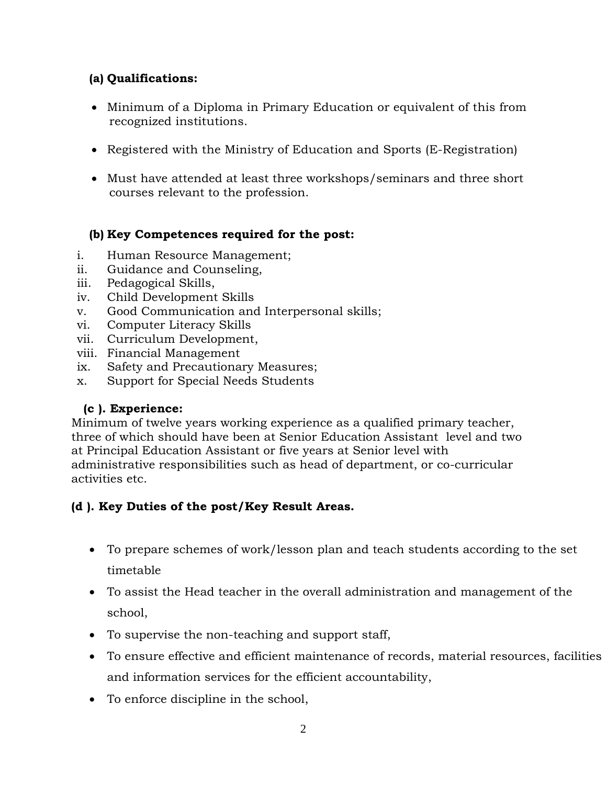## **(a) Qualifications:**

- Minimum of a Diploma in Primary Education or equivalent of this from recognized institutions.
- Registered with the Ministry of Education and Sports (E-Registration)
- Must have attended at least three workshops/seminars and three short courses relevant to the profession.

# **(b) Key Competences required for the post:**

- i. Human Resource Management;
- ii. Guidance and Counseling,
- iii. Pedagogical Skills,
- iv. Child Development Skills
- v. Good Communication and Interpersonal skills;
- vi. Computer Literacy Skills
- vii. Curriculum Development,
- viii. Financial Management
- ix. Safety and Precautionary Measures;
- x. Support for Special Needs Students

## **(c ). Experience:**

Minimum of twelve years working experience as a qualified primary teacher, three of which should have been at Senior Education Assistant level and two at Principal Education Assistant or five years at Senior level with administrative responsibilities such as head of department, or co-curricular activities etc.

## **(d ). Key Duties of the post/Key Result Areas.**

- To prepare schemes of work/lesson plan and teach students according to the set timetable
- To assist the Head teacher in the overall administration and management of the school,
- To supervise the non-teaching and support staff,
- To ensure effective and efficient maintenance of records, material resources, facilities and information services for the efficient accountability,
- To enforce discipline in the school,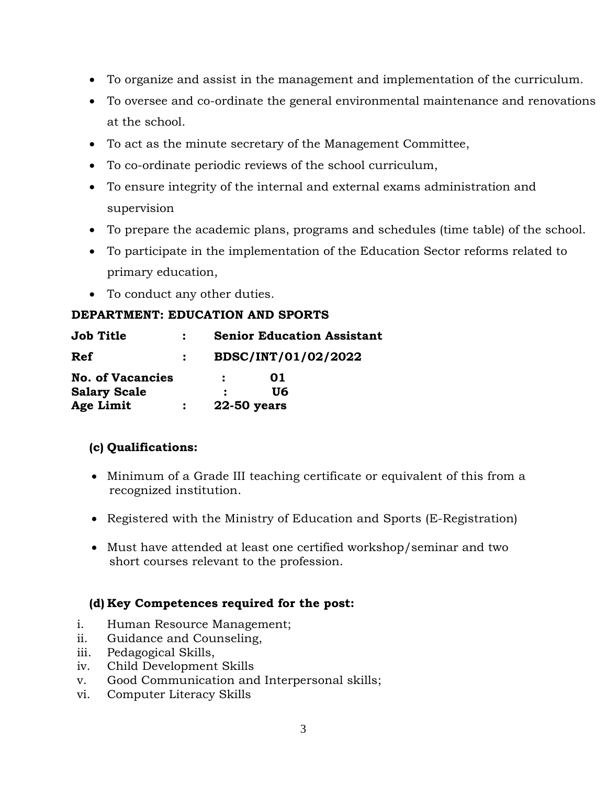- To organize and assist in the management and implementation of the curriculum.
- To oversee and co-ordinate the general environmental maintenance and renovations at the school.
- To act as the minute secretary of the Management Committee,
- To co-ordinate periodic reviews of the school curriculum,
- To ensure integrity of the internal and external exams administration and supervision
- To prepare the academic plans, programs and schedules (time table) of the school.
- To participate in the implementation of the Education Sector reforms related to primary education,
- To conduct any other duties.

### **DEPARTMENT: EDUCATION AND SPORTS**

| <b>Job Title</b>        | <b>Senior Education Assistant</b> |     |  |
|-------------------------|-----------------------------------|-----|--|
| Ref                     | BDSC/INT/01/02/2022               |     |  |
| <b>No. of Vacancies</b> |                                   | 01  |  |
| <b>Salary Scale</b>     |                                   | U6. |  |
| Age Limit               | 22-50 years                       |     |  |

## **(c) Qualifications:**

- Minimum of a Grade III teaching certificate or equivalent of this from a recognized institution.
- Registered with the Ministry of Education and Sports (E-Registration)
- Must have attended at least one certified workshop/seminar and two short courses relevant to the profession.

### **(d) Key Competences required for the post:**

- i. Human Resource Management;
- ii. Guidance and Counseling,
- iii. Pedagogical Skills,
- iv. Child Development Skills
- v. Good Communication and Interpersonal skills;
- vi. Computer Literacy Skills